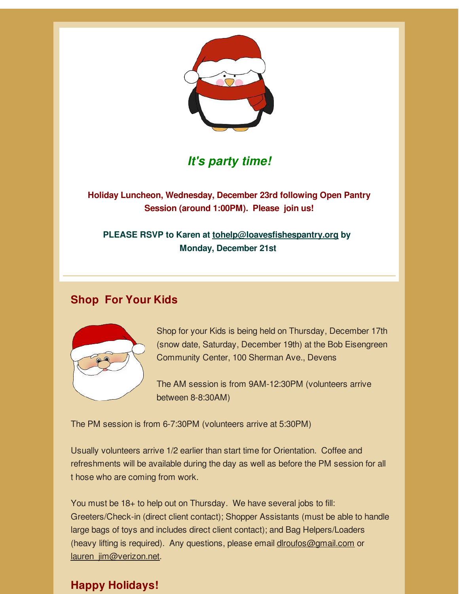

# *It's party time!*

**Holiday Luncheon, Wednesday, December 23rd following Open Pantry Session (around 1:00PM). Please join us!**

**PLEASE RSVP to Karen at tohelp@loavesfishespantry.org by Monday, December 21st**

### **Shop For Your Kids**



Shop for your Kids is being held on Thursday, December 17th (snow date, Saturday, December 19th) at the Bob Eisengreen Community Center, 100 Sherman Ave., Devens

The AM session is from 9AM-12:30PM (volunteers arrive between 8-8:30AM)

The PM session is from 6-7:30PM (volunteers arrive at 5:30PM)

Usually volunteers arrive 1/2 earlier than start time for Orientation. Coffee and refreshments will be available during the day as well as before the PM session for all t hose who are coming from work.

You must be 18+ to help out on Thursday. We have several jobs to fill: Greeters/Check-in (direct client contact); Shopper Assistants (must be able to handle large bags of toys and includes direct client contact); and Bag Helpers/Loaders (heavy lifting is required). Any questions, please email dlroufos@gmail.com or lauren\_jim@verizon.net.

## **Happy Holidays!**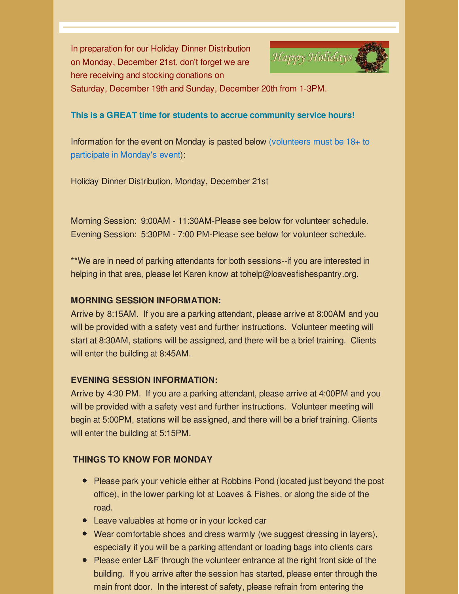In preparation for our Holiday Dinner Distribution on Monday, December 21st, don't forget we are here receiving and stocking donations on



Saturday, December 19th and Sunday, December 20th from 1-3PM.

#### **This is a GREAT time for students to accrue community service hours!**

Information for the event on Monday is pasted below (volunteers must be 18+ to participate in Monday's event):

Holiday Dinner Distribution, Monday, December 21st

Morning Session: 9:00AM - 11:30AM-Please see below for volunteer schedule. Evening Session: 5:30PM - 7:00 PM-Please see below for volunteer schedule.

\*\*We are in need of parking attendants for both sessions--if you are interested in helping in that area, please let Karen know at tohelp@loavesfishespantry.org.

#### **MORNING SESSION INFORMATION:**

Arrive by 8:15AM. If you are a parking attendant, please arrive at 8:00AM and you will be provided with a safety vest and further instructions. Volunteer meeting will start at 8:30AM, stations will be assigned, and there will be a brief training. Clients will enter the building at 8:45AM.

### **EVENING SESSION INFORMATION:**

Arrive by 4:30 PM. If you are a parking attendant, please arrive at 4:00PM and you will be provided with a safety vest and further instructions. Volunteer meeting will begin at 5:00PM, stations will be assigned, and there will be a brief training. Clients will enter the building at 5:15PM.

### **THINGS TO KNOW FOR MONDAY**

- Please park your vehicle either at Robbins Pond (located just beyond the post office), in the lower parking lot at Loaves & Fishes, or along the side of the road.
- Leave valuables at home or in your locked car
- Wear comfortable shoes and dress warmly (we suggest dressing in layers), especially if you will be a parking attendant or loading bags into clients cars
- Please enter L&F through the volunteer entrance at the right front side of the building. If you arrive after the session has started, please enter through the main front door. In the interest of safety, please refrain from entering the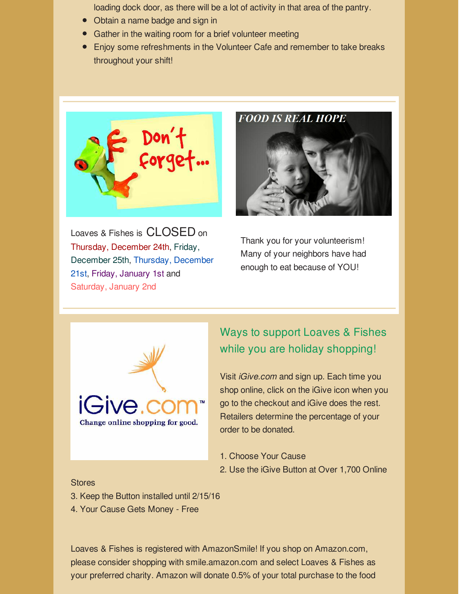loading dock door, as there will be a lot of activity in that area of the pantry.

- Obtain a name badge and sign in
- Gather in the waiting room for a brief volunteer meeting
- Enjoy some refreshments in the Volunteer Cafe and remember to take breaks throughout your shift!



Loaves & Fishes is CLOSED on Thursday, December 24th, Friday, December 25th, Thursday, December 21st, Friday, January 1st and Saturday, January 2nd

**FOOD IS REAL HOPE** 



Thank you for your volunteerism! Many of your neighbors have had enough to eat because of YOU!



## Ways to support Loaves & Fishes while you are holiday shopping!

Visit *iGive.com* and sign up. Each time you shop online, click on the iGive icon when you go to the checkout and iGive does the rest. Retailers determine the percentage of your order to be donated.

- 1. Choose Your Cause
- 2. Use the iGive Button at Over 1,700 Online

#### **Stores**

- 3. Keep the Button installed until 2/15/16
- 4. Your Cause Gets Money Free

Loaves & Fishes is registered with AmazonSmile! If you shop on Amazon.com, please consider shopping with smile.amazon.com and select Loaves & Fishes as your preferred charity. Amazon will donate 0.5% of your total purchase to the food